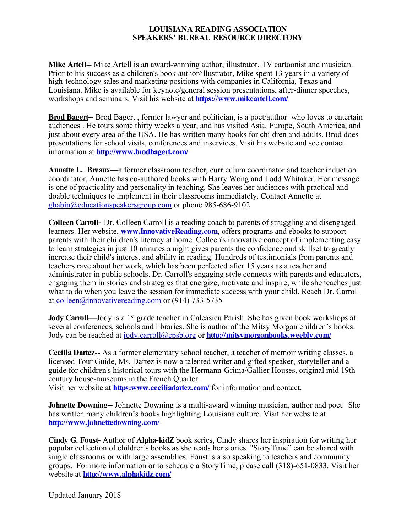**Mike Artell--** Mike Artell is an award-winning author, illustrator, TV cartoonist and musician. Prior to his success as a children's book author/illustrator, Mike spent 13 years in a variety of high-technology sales and marketing positions with companies in California, Texas and Louisiana. Mike is available for keynote/general session presentations, after-dinner speeches, workshops and seminars. Visit his website at **https://www.mikeartell.com/**

**Brod Bagert-**- Brod Bagert , former lawyer and politician, is a poet/author who loves to entertain audiences . He tours some thirty weeks a year, and has visited Asia, Europe, South America, and just about every area of the USA. He has written many books for children and adults. Brod does presentations for school visits, conferences and inservices. Visit his website and see contact information at **http://www.brodbagert.com/**

**Annette L. Breaux—**a former classroom teacher, curriculum coordinator and teacher induction coordinator, Annette has co-authored books with Harry Wong and Todd Whitaker. Her message is one of practicality and personality in teaching. She leaves her audiences with practical and doable techniques to implement in their classrooms immediately. Contact Annette at gbabin@educationspeakersgroup.com or phone 985-686-9102

**Colleen Carroll-**-Dr. Colleen Carroll is a reading coach to parents of struggling and disengaged learners. Her website, **www.InnovativeReading.com**, offers programs and ebooks to support parents with their children's literacy at home. Colleen's innovative concept of implementing easy to learn strategies in just 10 minutes a night gives parents the confidence and skillset to greatly increase their child's interest and ability in reading. Hundreds of testimonials from parents and teachers rave about her work, which has been perfected after 15 years as a teacher and administrator in public schools. Dr. Carroll's engaging style connects with parents and educators, engaging them in stories and strategies that energize, motivate and inspire, while she teaches just what to do when you leave the session for immediate success with your child. Reach Dr. Carroll at colleen@innovativereading.com or (914) 733-5735

**Jody Carroll—Jody** is a 1<sup>st</sup> grade teacher in Calcasieu Parish. She has given book workshops at several conferences, schools and libraries. She is author of the Mitsy Morgan children's books. Jody can be reached at jody.carroll@cpsb.org or **http://mitsymorganbooks.weebly.com/**

**Cecilia Dartez--** As a former elementary school teacher, a teacher of memoir writing classes, a licensed Tour Guide, Ms. Dartez is now a talented writer and gifted speaker, storyteller and a guide for children's historical tours with the Hermann-Grima/Gallier Houses, original mid 19th century house-museums in the French Quarter.

Visit her website at **https:www.ceciliadartez.com/** for information and contact.

**Johnette Downing--** Johnette Downing is a multi-award winning musician, author and poet. She has written many children's books highlighting Louisiana culture. Visit her website at **http://www.johnettedowning.com/**

**Cindy G. Foust-** Author of **Alpha-kidZ** book series, Cindy shares her inspiration for writing her popular collection of children's books as she reads her stories. "StoryTime" can be shared with single classrooms or with large assemblies. Foust is also speaking to teachers and community groups. For more information or to schedule a StoryTime, please call (318)-651-0833. Visit her website at **http://www.alphakidz.com/**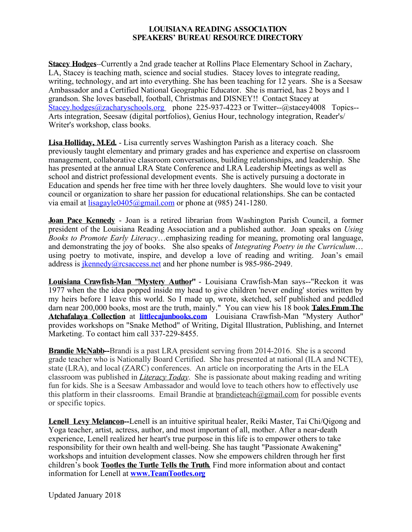**Stacey Hodges**--Currently a 2nd grade teacher at Rollins Place Elementary School in Zachary, LA, Stacey is teaching math, science and social studies. Stacey loves to integrate reading, writing, technology, and art into everything. She has been teaching for 12 years. She is a Seesaw Ambassador and a Certified National Geographic Educator. She is married, has 2 boys and 1 grandson. She loves baseball, football, Christmas and DISNEY!! Contact Stacey at Stacey.hodges@zacharyschools.org phone 225-937-4223 or Twitter--@stacey4008 Topics--Arts integration, Seesaw (digital portfolios), Genius Hour, technology integration, Reader's/ Writer's workshop, class books.

**Lisa Holliday, M.Ed.** - Lisa currently serves Washington Parish as a literacy coach. She previously taught elementary and primary grades and has experience and expertise on classroom management, collaborative classroom conversations, building relationships, and leadership. She has presented at the annual LRA State Conference and LRA Leadership Meetings as well as school and district professional development events. She is actively pursuing a doctorate in Education and spends her free time with her three lovely daughters. She would love to visit your council or organization to share her passion for educational relationships. She can be contacted via email at <u>lisagayle0405@gmail.com</u> or phone at (985) 241-1280.

**Joan Pace Kennedy** - Joan is a retired librarian from Washington Parish Council, a former president of the Louisiana Reading Association and a published author. Joan speaks on *Using Books to Promote Early Literacy*…emphasizing reading for meaning, promoting oral language, and demonstrating the joy of books. She also speaks of *Integrating Poetry in the Curriculum*… using poetry to motivate, inspire, and develop a love of reading and writing. Joan's email address is *ikennedy@rcsaccess.net* and her phone number is 985-986-2949.

**Louisiana Crawfish-Man "Mystery Author"** - Louisiana Crawfish-Man says--"Reckon it was 1977 when the the idea popped inside my head to give children 'never ending' stories written by my heirs before I leave this world. So I made up, wrote, sketched, self published and peddled darn near 200,000 books, most are the truth, mainly." You can view his 18 book **Tales From The Atchafalaya Collection** at **littlecajunbooks.com** Louisiana Crawfish-Man "Mystery Author" provides workshops on "Snake Method" of Writing, Digital Illustration, Publishing, and Internet Marketing. To contact him call 337-229-8455.

**Brandie McNabb--**Brandi is a past LRA president serving from 2014-2016. She is a second grade teacher who is Nationally Board Certified. She has presented at national (ILA and NCTE), state (LRA), and local (ZARC) conferences. An article on incorporating the Arts in the ELA classroom was published in *Literacy Today*. She is passionate about making reading and writing fun for kids. She is a Seesaw Ambassador and would love to teach others how to effectively use this platform in their classrooms. Email Brandie at brandieteach $@g$ mail.com for possible events or specific topics.

**Lenell Levy Melancon--**Lenell is an intuitive spiritual healer, Reiki Master, Tai Chi/Qigong and Yoga teacher, artist, actress, author, and most important of all, mother. After a near-death experience, Lenell realized her heart's true purpose in this life is to empower others to take responsibility for their own health and well-being. She has taught "Passionate Awakening" workshops and intuition development classes. Now she empowers children through her first children's book **Tootles the Turtle Tells the Truth***.* Find more information about and contact information for Lenell at **www.TeamTootles.org**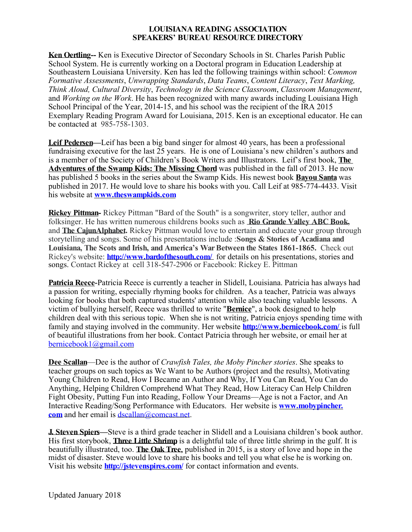**Ken Oertling--** Ken is Executive Director of Secondary Schools in St. Charles Parish Public School System. He is currently working on a Doctoral program in Education Leadership at Southeastern Louisiana University. Ken has led the following trainings within school: *Common Formative Assessments*, *Unwrapping Standards*, *Data Teams*, *Content Literacy*, *Text Marking, Think Aloud, Cultural Diversity*, *Technology in the Science Classroom*, *Classroom Management*, and *Working on the Work*. He has been recognized with many awards including Louisiana High School Principal of the Year, 2014-15, and his school was the recipient of the IRA 2015 Exemplary Reading Program Award for Louisiana, 2015. Ken is an exceptional educator. He can be contacted at 985-758-1303.

**Leif Pedersen—**Leif has been a big band singer for almost 40 years, has been a professional fundraising executive for the last 25 years. He is one of Louisiana's new children's authors and is a member of the Society of Children's Book Writers and Illustrators. Leif's first book, **The Adventures of the Swamp Kids: The Missing Chord** was published in the fall of 2013. He now has published 5 books in the series about the Swamp Kids. His newest book **Bayou Santa** was published in 2017. He would love to share his books with you. Call Leif at 985-774-4433. Visit his website at **www.theswampkids.com**

**Rickey Pittman-** Rickey Pittman "Bard of the South" is a songwriter, story teller, author and folksinger. He has written numerous childrens books such as **Rio Grande Valley ABC Book,** and **The CajunAlphabet.** Rickey Pittman would love to entertain and educate your group through storytelling and songs. Some of his presentations include :**Songs & Stories of Acadiana and Louisiana, The Scots and Irish, and America's WarBetween the States 1861-1865.** Check out Rickey's website: **http://www.bardofthesouth.com/** for details on his presentations, stories and songs. Contact Rickey at cell 318-547-2906 or Facebook: Rickey E. Pittman

**Patricia Reece-**Patricia Reece is currently a teacher in Slidell, Louisiana. Patricia has always had a passion for writing, especially rhyming books for children. As a teacher, Patricia was always looking for books that both captured students' attention while also teaching valuable lessons. A victim of bullying herself, Reece was thrilled to write "**Bernice**", a book designed to help children deal with this serious topic. When she is not writing, Patricia enjoys spending time with family and staying involved in the community. Her website **http://www.bernicebook.com/** is full of beautiful illustrations from her book. Contact Patricia through her website, or email her at bernicebook1@gmail.com

**Dee Scallan**—Dee is the author of *Crawfish Tales, the Moby Pincher stories*. She speaks to teacher groups on such topics as We Want to be Authors (project and the results), Motivating Young Children to Read, How I Became an Author and Why, If You Can Read, You Can do Anything, Helping Children Comprehend What They Read, How Literacy Can Help Children Fight Obesity, Putting Fun into Reading, Follow Your Dreams—Age is not a Factor, and An Interactive Reading/Song Performance with Educators. Her website is **www.mobypincher. com** and her email is dscallan@comcast.net.

**J. Steven Spiers—**Steve is a third grade teacher in Slidell and a Louisiana children's book author. His first storybook, **Three Little Shrimp** is a delightful tale of three little shrimp in the gulf. It is beautifully illustrated, too. **The Oak Tree**, published in 2015, is a story of love and hope in the midst of disaster. Steve would love to share his books and tell you what else he is working on. Visit his website **http://jstevenspires.com/** for contact information and events.